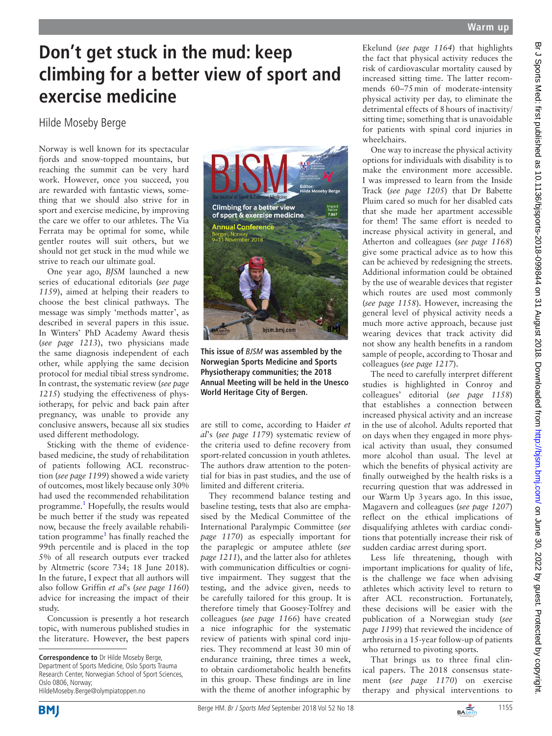## **Don't get stuck in the mud: keep climbing for a better view of sport and exercise medicine**

## Hilde Moseby Berge

Norway is well known for its spectacular fiords and snow-topped mountains, but reaching the summit can be very hard work. However, once you succeed, you are rewarded with fantastic views, something that we should also strive for in sport and exercise medicine, by improving the care we offer to our athletes. The Via Ferrata may be optimal for some, while gentler routes will suit others, but we should not get stuck in the mud while we strive to reach our ultimate goal.

One year ago, *BJSM* launched a new series of educational editorials (*see page 1159*), aimed at helping their readers to choose the best clinical pathways. The message was simply 'methods matter', as described in several papers in this issue. In Winters' PhD Academy Award thesis (*see page 1213*), two physicians made the same diagnosis independent of each other, while applying the same decision protocol for medial tibial stress syndrome. In contrast, the systematic review (*see page 1215*) studying the effectiveness of physiotherapy, for pelvic and back pain after pregnancy, was unable to provide any conclusive answers, because all six studies used different methodology.

Sticking with the theme of evidencebased medicine, the study of rehabilitation of patients following ACL reconstruction (*see page 1199*) showed a wide variety of outcomes, most likely because only 30% had used the recommended rehabilitation programme.<sup>1</sup> Hopefully, the results would be much better if the study was repeated now, because the freely available rehabili-tation programme<sup>[1](#page-1-0)</sup> has finally reached the 99th percentile and is placed in the top 5% of all research outputs ever tracked by Altmetric (score 734; 18 June 2018). In the future, I expect that all authors will also follow Griffin *et al*'s (*see page 1160*) advice for increasing the impact of their study.

Concussion is presently a hot research topic, with numerous published studies in the literature. However, the best papers





**This issue of** *BJSM* **was assembled by the Norwegian Sports Medicine and Sports Physiotherapy communities; the 2018 Annual Meeting will be held in the Unesco World Heritage City of Bergen.** 

are still to come, according to Haider *et al*'s (*see page 1179*) systematic review of the criteria used to define recovery from sport-related concussion in youth athletes. The authors draw attention to the potential for bias in past studies, and the use of limited and different criteria.

They recommend balance testing and baseline testing, tests that also are emphasised by the Medical Committee of the International Paralympic Committee (*see page 1170*) as especially important for the paraplegic or amputee athlete (*see page 1211*), and the latter also for athletes with communication difficulties or cognitive impairment. They suggest that the testing, and the advice given, needs to be carefully tailored for this group. It is therefore timely that Goosey-Tolfrey and colleagues (*see page 1166*) have created a nice infographic for the systematic review of patients with spinal cord injuries. They recommend at least 30 min of endurance training, three times a week, to obtain cardiometabolic health benefits in this group. These findings are in line with the theme of another infographic by

Ekelund (*see page 1164*) that highlights the fact that physical activity reduces the risk of cardiovascular mortality caused by increased sitting time. The latter recommends 60–75min of moderate-intensity physical activity per day, to eliminate the detrimental effects of 8hours of inactivity/ sitting time; something that is unavoidable for patients with spinal cord injuries in wheelchairs.

One way to increase the physical activity options for individuals with disability is to make the environment more accessible. I was impressed to learn from the Inside Track (*see page 1205*) that Dr Babette Pluim cared so much for her disabled cats that she made her apartment accessible for them! The same effort is needed to increase physical activity in general, and Atherton and colleagues (*see page 1168*) give some practical advice as to how this can be achieved by redesigning the streets. Additional information could be obtained by the use of wearable devices that register which routes are used most commonly (*see page 1158*). However, increasing the general level of physical activity needs a much more active approach, because just wearing devices that track activity did not show any health benefits in a random sample of people, according to Thosar and colleagues (*see page 1217*).

The need to carefully interpret different studies is highlighted in Conroy and colleagues' editorial (*see page 1158*) that establishes a connection between increased physical activity and an increase in the use of alcohol. Adults reported that on days when they engaged in more physical activity than usual, they consumed more alcohol than usual. The level at which the benefits of physical activity are finally outweighed by the health risks is a recurring question that was addressed in our Warm Up 3years ago. In this issue, Magavern and colleagues (*see page 1207*) reflect on the ethical implications of disqualifying athletes with cardiac conditions that potentially increase their risk of sudden cardiac arrest during sport.

Less life threatening, though with important implications for quality of life, is the challenge we face when advising athletes which activity level to return to after ACL reconstruction. Fortunately, these decisions will be easier with the publication of a Norwegian study (*see page 1199*) that reviewed the incidence of arthrosis in a 15-year follow-up of patients who returned to pivoting sports.

That brings us to three final clinical papers. The 2018 consensus statement (*see page 1170*) on exercise therapy and physical interventions to



**Correspondence to** Dr Hilde Moseby Berge, Department of Sports Medicine, Oslo Sports Trauma Research Center, Norwegian School of Sport Sciences, Oslo 0806, Norway; HildeMoseby.Berge@olympiatoppen.no